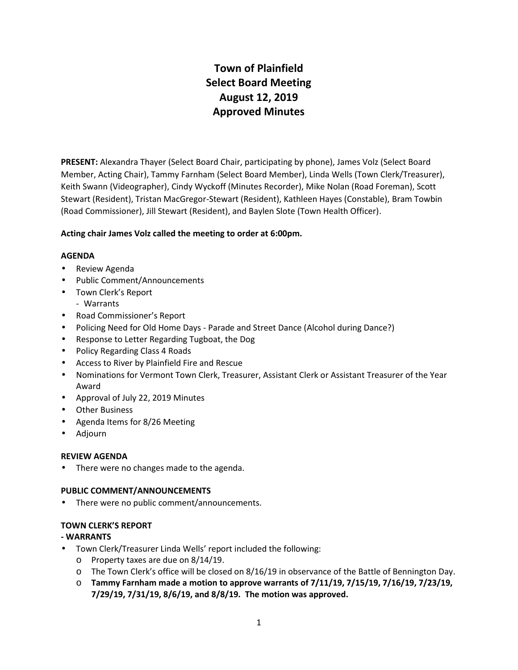# **Town of Plainfield Select Board Meeting August 12, 2019 Approved Minutes**

**PRESENT:** Alexandra Thayer (Select Board Chair, participating by phone), James Volz (Select Board Member, Acting Chair), Tammy Farnham (Select Board Member), Linda Wells (Town Clerk/Treasurer), Keith Swann (Videographer), Cindy Wyckoff (Minutes Recorder), Mike Nolan (Road Foreman), Scott Stewart (Resident), Tristan MacGregor-Stewart (Resident), Kathleen Hayes (Constable), Bram Towbin (Road Commissioner), Jill Stewart (Resident), and Baylen Slote (Town Health Officer).

# **Acting chair James Volz called the meeting to order at 6:00pm.**

# **AGENDA**

- Review Agenda
- Public Comment/Announcements
- Town Clerk's Report
- Warrants
- Road Commissioner's Report
- Policing Need for Old Home Days -Parade and Street Dance (Alcohol during Dance?)
- Response to Letter Regarding Tugboat, the Dog
- Policy Regarding Class 4 Roads
- Access to River by Plainfield Fire and Rescue
- Nominations for Vermont Town Clerk, Treasurer, Assistant Clerk or Assistant Treasurer of the Year Award
- Approval of July 22, 2019 Minutes
- Other Business
- Agenda Items for 8/26 Meeting
- Adjourn

# **REVIEW AGENDA**

There were no changes made to the agenda.

# **PUBLIC COMMENT/ANNOUNCEMENTS**

• There were no public comment/announcements.

# **TOWN CLERK'S REPORT**

# **- WARRANTS**

- Town Clerk/Treasurer Linda Wells' report included the following:
	- o Property taxes are due on 8/14/19.
	- o The Town Clerk's office will be closed on 8/16/19 in observance of the Battle of Bennington Day.
	- o **Tammy Farnham made a motion to approve warrants of 7/11/19, 7/15/19, 7/16/19, 7/23/19, 7/29/19, 7/31/19, 8/6/19, and 8/8/19. The motion was approved.**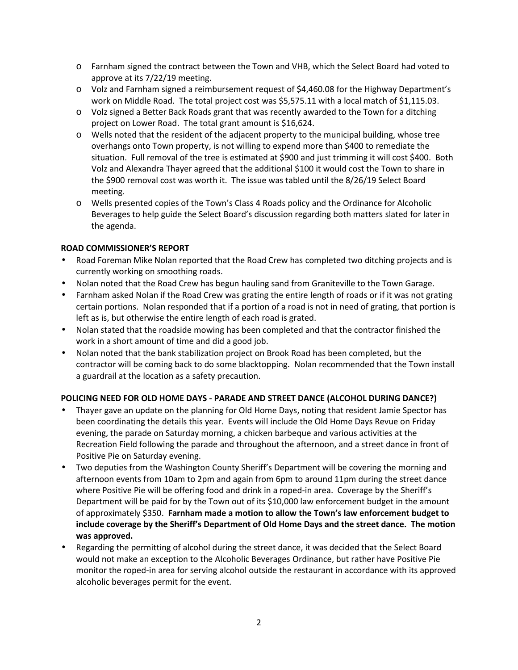- o Farnham signed the contract between the Town and VHB, which the Select Board had voted to approve at its 7/22/19 meeting.
- o Volz and Farnham signed a reimbursement request of \$4,460.08 for the Highway Department's work on Middle Road. The total project cost was \$5,575.11 with a local match of \$1,115.03.
- o Volz signed a Better Back Roads grant that was recently awarded to the Town for a ditching project on Lower Road. The total grant amount is \$16,624.
- o Wells noted that the resident of the adjacent property to the municipal building, whose tree overhangs onto Town property, is not willing to expend more than \$400 to remediate the situation. Full removal of the tree is estimated at \$900 and just trimming it will cost \$400. Both Volz and Alexandra Thayer agreed that the additional \$100 it would cost the Town to share in the \$900 removal cost was worth it. The issue was tabled until the 8/26/19 Select Board meeting.
- o Wells presented copies of the Town's Class 4 Roads policy and the Ordinance for Alcoholic Beverages to help guide the Select Board's discussion regarding both matters slated for later in the agenda.

# **ROAD COMMISSIONER'S REPORT**

- Road Foreman Mike Nolan reported that the Road Crew has completed two ditching projects and is currently working on smoothing roads.
- Nolan noted that the Road Crew has begun hauling sand from Graniteville to the Town Garage.
- Farnham asked Nolan if the Road Crew was grating the entire length of roads or if it was not grating certain portions. Nolan responded that if a portion of a road is not in need of grating, that portion is left as is, but otherwise the entire length of each road is grated.
- Nolan stated that the roadside mowing has been completed and that the contractor finished the work in a short amount of time and did a good job.
- Nolan noted that the bank stabilization project on Brook Road has been completed, but the contractor will be coming back to do some blacktopping. Nolan recommended that the Town install a guardrail at the location as a safety precaution.

# **POLICING NEED FOR OLD HOME DAYS - PARADE AND STREET DANCE (ALCOHOL DURING DANCE?)**

- Thayer gave an update on the planning for Old Home Days, noting that resident Jamie Spector has been coordinating the details this year. Events will include the Old Home Days Revue on Friday evening, the parade on Saturday morning, a chicken barbeque and various activities at the Recreation Field following the parade and throughout the afternoon, and a street dance in front of Positive Pie on Saturday evening.
- Two deputies from the Washington County Sheriff's Department will be covering the morning and afternoon events from 10am to 2pm and again from 6pm to around 11pm during the street dance where Positive Pie will be offering food and drink in a roped-in area. Coverage by the Sheriff's Department will be paid for by the Town out of its \$10,000 law enforcement budget in the amount of approximately \$350. **Farnham made a motion to allow the Town's law enforcement budget to include coverage by the Sheriff's Department of Old Home Days and the street dance. The motion was approved.**
- Regarding the permitting of alcohol during the street dance, it was decided that the Select Board would not make an exception to the Alcoholic Beverages Ordinance, but rather have Positive Pie monitor the roped-in area for serving alcohol outside the restaurant in accordance with its approved alcoholic beverages permit for the event.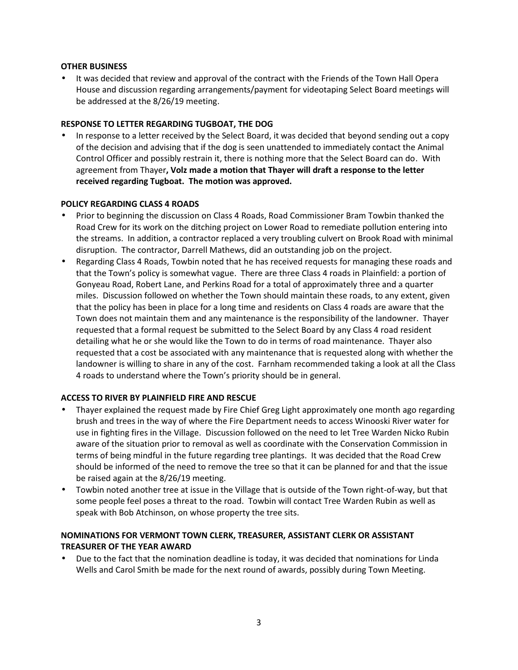# **OTHER BUSINESS**

 It was decided that review and approval of the contract with the Friends of the Town Hall Opera House and discussion regarding arrangements/payment for videotaping Select Board meetings will be addressed at the 8/26/19 meeting.

# **RESPONSE TO LETTER REGARDING TUGBOAT, THE DOG**

 In response to a letter received by the Select Board, it was decided that beyond sending out a copy of the decision and advising that if the dog is seen unattended to immediately contact the Animal Control Officer and possibly restrain it, there is nothing more that the Select Board can do. With agreement from Thayer**, Volz made a motion that Thayer will draft a response to the letter received regarding Tugboat. The motion was approved.**

### **POLICY REGARDING CLASS 4 ROADS**

- Prior to beginning the discussion on Class 4 Roads, Road Commissioner Bram Towbin thanked the Road Crew for its work on the ditching project on Lower Road to remediate pollution entering into the streams. In addition, a contractor replaced a very troubling culvert on Brook Road with minimal disruption. The contractor, Darrell Mathews, did an outstanding job on the project.
- Regarding Class 4 Roads, Towbin noted that he has received requests for managing these roads and that the Town's policy is somewhat vague. There are three Class 4 roads in Plainfield: a portion of Gonyeau Road, Robert Lane, and Perkins Road for a total of approximately three and a quarter miles. Discussion followed on whether the Town should maintain these roads, to any extent, given that the policy has been in place for a long time and residents on Class 4 roads are aware that the Town does not maintain them and any maintenance is the responsibility of the landowner. Thayer requested that a formal request be submitted to the Select Board by any Class 4 road resident detailing what he or she would like the Town to do in terms of road maintenance. Thayer also requested that a cost be associated with any maintenance that is requested along with whether the landowner is willing to share in any of the cost. Farnham recommended taking a look at all the Class 4 roads to understand where the Town's priority should be in general.

# **ACCESS TO RIVER BY PLAINFIELD FIRE AND RESCUE**

- Thayer explained the request made by Fire Chief Greg Light approximately one month ago regarding brush and trees in the way of where the Fire Department needs to access Winooski River water for use in fighting fires in the Village. Discussion followed on the need to let Tree Warden Nicko Rubin aware of the situation prior to removal as well as coordinate with the Conservation Commission in terms of being mindful in the future regarding tree plantings. It was decided that the Road Crew should be informed of the need to remove the tree so that it can be planned for and that the issue be raised again at the 8/26/19 meeting.
- Towbin noted another tree at issue in the Village that is outside of the Town right-of-way, but that some people feel poses a threat to the road. Towbin will contact Tree Warden Rubin as well as speak with Bob Atchinson, on whose property the tree sits.

# **NOMINATIONS FOR VERMONT TOWN CLERK, TREASURER, ASSISTANT CLERK OR ASSISTANT TREASURER OF THE YEAR AWARD**

 Due to the fact that the nomination deadline is today, it was decided that nominations for Linda Wells and Carol Smith be made for the next round of awards, possibly during Town Meeting.